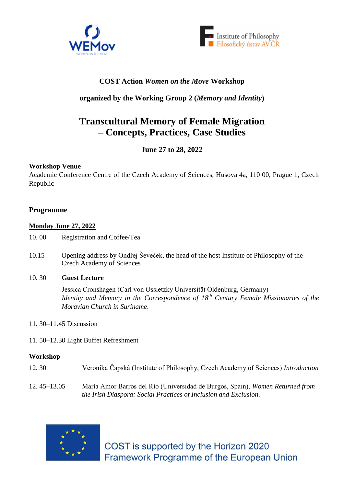



# **COST Action** *Women on the Move* **Workshop**

## **organized by the Working Group 2 (***Memory and Identity***)**

# **Transcultural Memory of Female Migration – Concepts, Practices, Case Studies**

## **June 27 to 28, 2022**

## **Workshop Venue**

Academic Conference Centre of the Czech Academy of Sciences, Husova 4a, 110 00, Prague 1, Czech Republic

## **Programme**

## **Monday June 27, 2022**

- 10. 00 Registration and Coffee/Tea
- 10.15 Opening address by Ondřej Ševeček, the head of the host Institute of Philosophy of the Czech Academy of Sciences
- 10. 30 **Guest Lecture**

Jessica Cronshagen (Carl von Ossietzky Universität Oldenburg, Germany) *Identity and Memory in the Correspondence of 18th Century Female Missionaries of the Moravian Church in Suriname*.

- 11. 30–11.45 Discussion
- 11. 50–12.30 Light Buffet Refreshment

## **Workshop**

- 12. 30 Veronika Čapská (Institute of Philosophy, Czech Academy of Sciences) *Introduction*
- 12. 45–13.05 María Amor Barros del Río (Universidad de Burgos, Spain), *Women Returned from the Irish Diaspora: Social Practices of Inclusion and Exclusion*.



COST is supported by the Horizon 2020 Framework Programme of the European Union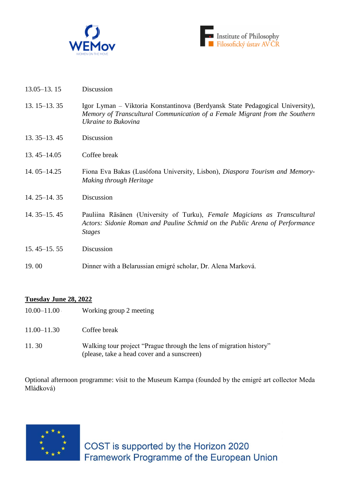



- 13.05–13. 15 Discussion
- 13. 15–13. 35 Igor Lyman Viktoria Konstantinova (Berdyansk State Pedagogical University), *Memory of Transcultural Communication of a Female Migrant from the Southern Ukraine to Bukovina*
- 13. 35–13. 45 Discussion
- 13. 45–14.05 Coffee break
- 14. 05–14.25 Fiona Eva Bakas (Lusófona University, Lisbon), *Diaspora Tourism and Memory-Making through Heritage*
- 14. 25–14. 35 Discussion
- 14. 35–15. 45 Pauliina Räsänen (University of Turku), *Female Magicians as Transcultural Actors: Sidonie Roman and Pauline Schmid on the Public Arena of Performance Stages*
- 15. 45–15. 55 Discussion
- 19. 00 Dinner with a Belarussian emigré scholar, Dr. Alena Marková.

## **Tuesday June 28, 2022**

- 10.00–11.00 Working group 2 meeting
- 11.00–11.30 Coffee break
- 11. 30 Walking tour project "Prague through the lens of migration history" (please, take a head cover and a sunscreen)

Optional afternoon programme: visit to the Museum Kampa (founded by the emigré art collector Meda Mládková)